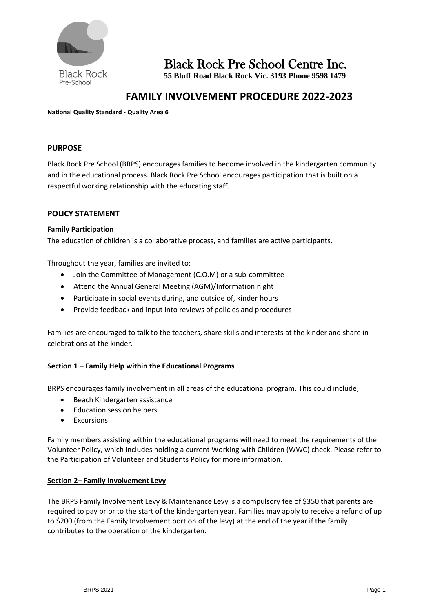

Black Rock Pre School Centre Inc.

**55 Bluff Road Black Rock Vic. 3193 Phone 9598 1479**

# **FAMILY INVOLVEMENT PROCEDURE 2022-2023**

**National Quality Standard - Quality Area 6**

# **PURPOSE**

Black Rock Pre School (BRPS) encourages families to become involved in the kindergarten community and in the educational process. Black Rock Pre School encourages participation that is built on a respectful working relationship with the educating staff.

# **POLICY STATEMENT**

### **Family Participation**

The education of children is a collaborative process, and families are active participants.

Throughout the year, families are invited to;

- Join the Committee of Management (C.O.M) or a sub-committee
- Attend the Annual General Meeting (AGM)/Information night
- Participate in social events during, and outside of, kinder hours
- Provide feedback and input into reviews of policies and procedures

Families are encouraged to talk to the teachers, share skills and interests at the kinder and share in celebrations at the kinder.

### **Section 1 – Family Help within the Educational Programs**

BRPS encourages family involvement in all areas of the educational program. This could include;

- Beach Kindergarten assistance
- Education session helpers
- Excursions

Family members assisting within the educational programs will need to meet the requirements of the Volunteer Policy, which includes holding a current Working with Children (WWC) check. Please refer to the Participation of Volunteer and Students Policy for more information.

### **Section 2– Family Involvement Levy**

The BRPS Family Involvement Levy & Maintenance Levy is a compulsory fee of \$350 that parents are required to pay prior to the start of the kindergarten year. Families may apply to receive a refund of up to \$200 (from the Family Involvement portion of the levy) at the end of the year if the family contributes to the operation of the kindergarten.